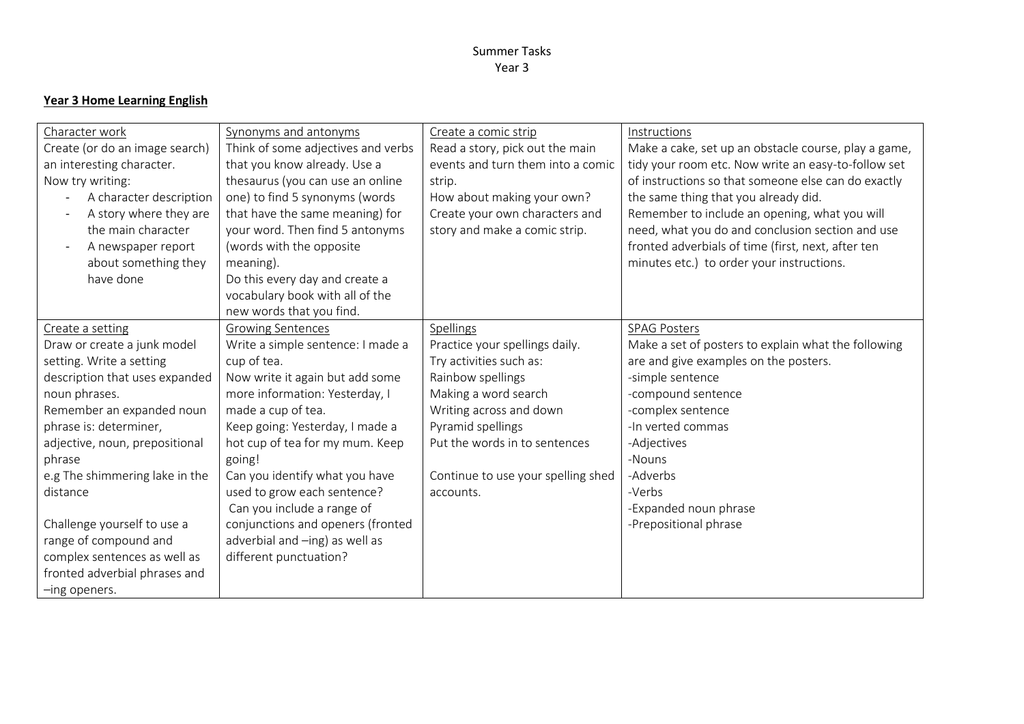# **Year 3 Home Learning English**

| Character work                                      | Synonyms and antonyms              | Create a comic strip               | Instructions                                         |
|-----------------------------------------------------|------------------------------------|------------------------------------|------------------------------------------------------|
| Create (or do an image search)                      | Think of some adjectives and verbs | Read a story, pick out the main    | Make a cake, set up an obstacle course, play a game, |
| an interesting character.                           | that you know already. Use a       | events and turn them into a comic  | tidy your room etc. Now write an easy-to-follow set  |
| Now try writing:                                    | thesaurus (you can use an online   | strip.                             | of instructions so that someone else can do exactly  |
| A character description<br>$\overline{\phantom{a}}$ | one) to find 5 synonyms (words     | How about making your own?         | the same thing that you already did.                 |
| A story where they are<br>$\overline{\phantom{a}}$  | that have the same meaning) for    | Create your own characters and     | Remember to include an opening, what you will        |
| the main character                                  | your word. Then find 5 antonyms    | story and make a comic strip.      | need, what you do and conclusion section and use     |
| A newspaper report<br>$\overline{\phantom{a}}$      | (words with the opposite)          |                                    | fronted adverbials of time (first, next, after ten   |
| about something they                                | meaning).                          |                                    | minutes etc.) to order your instructions.            |
| have done                                           | Do this every day and create a     |                                    |                                                      |
|                                                     | vocabulary book with all of the    |                                    |                                                      |
|                                                     | new words that you find.           |                                    |                                                      |
| Create a setting                                    | <b>Growing Sentences</b>           | Spellings                          | <b>SPAG Posters</b>                                  |
| Draw or create a junk model                         | Write a simple sentence: I made a  | Practice your spellings daily.     | Make a set of posters to explain what the following  |
| setting. Write a setting                            | cup of tea.                        | Try activities such as:            | are and give examples on the posters.                |
| description that uses expanded                      | Now write it again but add some    | Rainbow spellings                  | -simple sentence                                     |
| noun phrases.                                       | more information: Yesterday, I     | Making a word search               | -compound sentence                                   |
| Remember an expanded noun                           | made a cup of tea.                 | Writing across and down            | -complex sentence                                    |
| phrase is: determiner,                              | Keep going: Yesterday, I made a    | Pyramid spellings                  | -In verted commas                                    |
| adjective, noun, prepositional                      | hot cup of tea for my mum. Keep    | Put the words in to sentences      | -Adjectives                                          |
| phrase                                              | going!                             |                                    | -Nouns                                               |
| e.g The shimmering lake in the                      | Can you identify what you have     | Continue to use your spelling shed | -Adverbs                                             |
| distance                                            | used to grow each sentence?        | accounts.                          | -Verbs                                               |
|                                                     | Can you include a range of         |                                    | -Expanded noun phrase                                |
| Challenge yourself to use a                         | conjunctions and openers (fronted  |                                    | -Prepositional phrase                                |
| range of compound and                               | adverbial and -ing) as well as     |                                    |                                                      |
| complex sentences as well as                        | different punctuation?             |                                    |                                                      |
| fronted adverbial phrases and                       |                                    |                                    |                                                      |
| -ing openers.                                       |                                    |                                    |                                                      |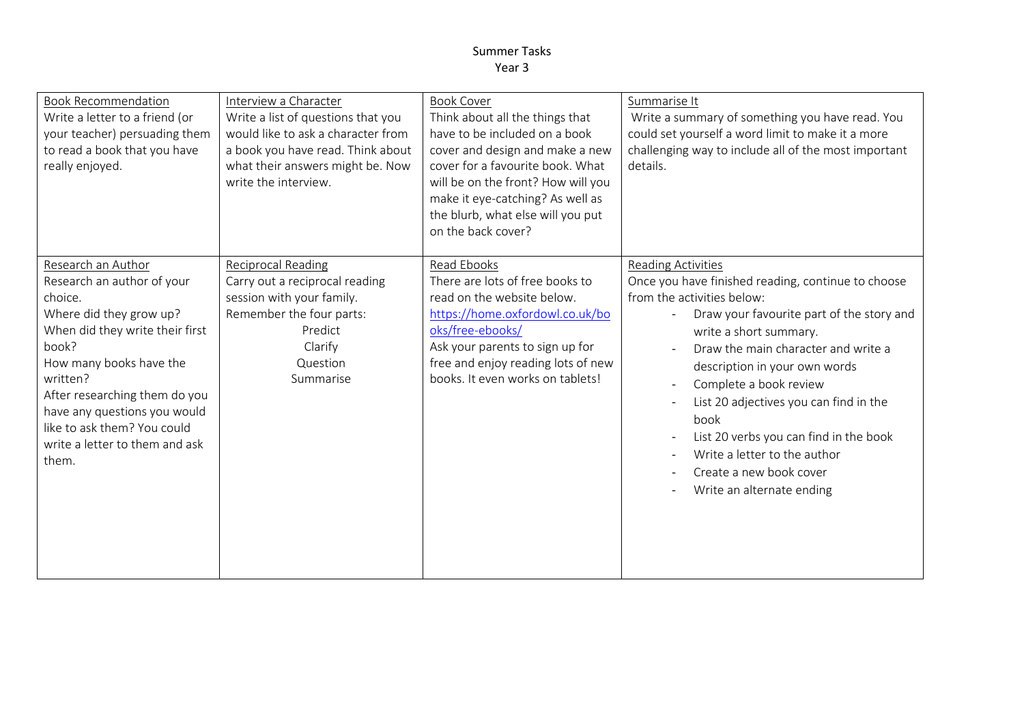| <b>Book Recommendation</b><br>Write a letter to a friend (or<br>your teacher) persuading them<br>to read a book that you have<br>really enjoyed.                                                                                                                                                                     | Interview a Character<br>Write a list of questions that you<br>would like to ask a character from<br>a book you have read. Think about<br>what their answers might be. Now<br>write the interview. | <b>Book Cover</b><br>Think about all the things that<br>have to be included on a book<br>cover and design and make a new<br>cover for a favourite book. What<br>will be on the front? How will you<br>make it eye-catching? As well as<br>the blurb, what else will you put<br>on the back cover? | Summarise It<br>Write a summary of something you have read. You<br>could set yourself a word limit to make it a more<br>challenging way to include all of the most important<br>details.                                                                                                                                                                                                                                                                            |
|----------------------------------------------------------------------------------------------------------------------------------------------------------------------------------------------------------------------------------------------------------------------------------------------------------------------|----------------------------------------------------------------------------------------------------------------------------------------------------------------------------------------------------|---------------------------------------------------------------------------------------------------------------------------------------------------------------------------------------------------------------------------------------------------------------------------------------------------|---------------------------------------------------------------------------------------------------------------------------------------------------------------------------------------------------------------------------------------------------------------------------------------------------------------------------------------------------------------------------------------------------------------------------------------------------------------------|
| Research an Author<br>Research an author of your<br>choice.<br>Where did they grow up?<br>When did they write their first<br>book?<br>How many books have the<br>written?<br>After researching them do you<br>have any questions you would<br>like to ask them? You could<br>write a letter to them and ask<br>them. | <b>Reciprocal Reading</b><br>Carry out a reciprocal reading<br>session with your family.<br>Remember the four parts:<br>Predict<br>Clarify<br>Question<br>Summarise                                | Read Ebooks<br>There are lots of free books to<br>read on the website below.<br>https://home.oxfordowl.co.uk/bo<br>oks/free-ebooks/<br>Ask your parents to sign up for<br>free and enjoy reading lots of new<br>books. It even works on tablets!                                                  | Reading Activities<br>Once you have finished reading, continue to choose<br>from the activities below:<br>Draw your favourite part of the story and<br>write a short summary.<br>Draw the main character and write a<br>description in your own words<br>Complete a book review<br>List 20 adjectives you can find in the<br>book<br>List 20 verbs you can find in the book<br>Write a letter to the author<br>Create a new book cover<br>Write an alternate ending |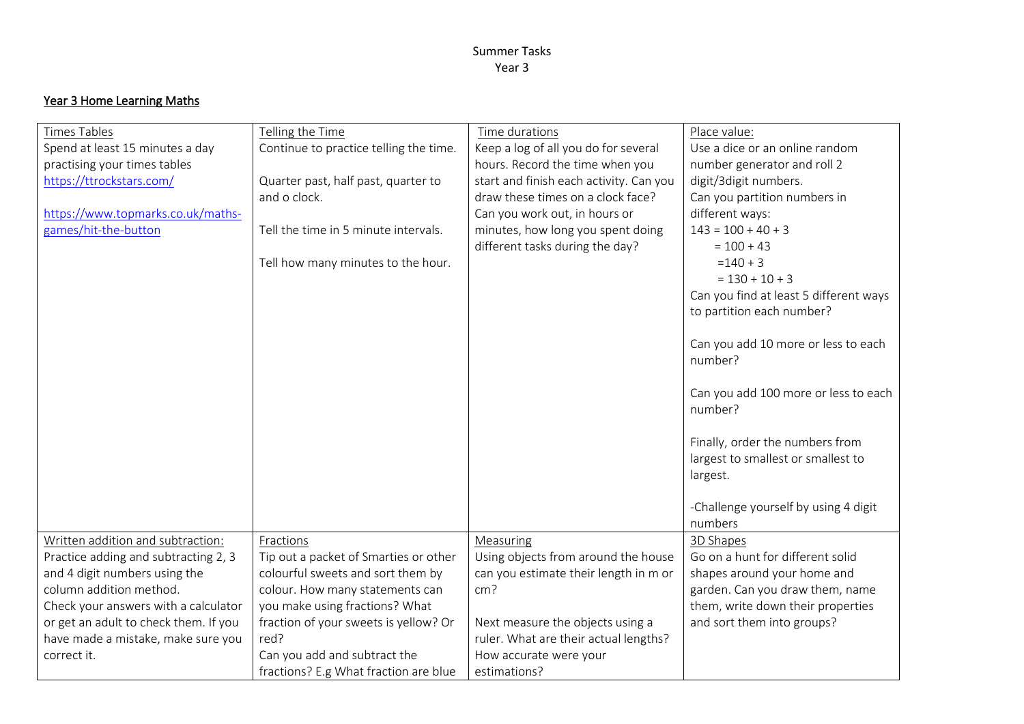# Year 3 Home Learning Maths

| Times Tables                          | Telling the Time                       | Time durations                          | Place value:                           |
|---------------------------------------|----------------------------------------|-----------------------------------------|----------------------------------------|
| Spend at least 15 minutes a day       | Continue to practice telling the time. | Keep a log of all you do for several    | Use a dice or an online random         |
| practising your times tables          |                                        | hours. Record the time when you         | number generator and roll 2            |
| https://ttrockstars.com/              | Quarter past, half past, quarter to    | start and finish each activity. Can you | digit/3digit numbers.                  |
|                                       | and o clock.                           | draw these times on a clock face?       | Can you partition numbers in           |
| https://www.topmarks.co.uk/maths-     |                                        | Can you work out, in hours or           | different ways:                        |
| games/hit-the-button                  | Tell the time in 5 minute intervals.   | minutes, how long you spent doing       | $143 = 100 + 40 + 3$                   |
|                                       |                                        | different tasks during the day?         | $= 100 + 43$                           |
|                                       | Tell how many minutes to the hour.     |                                         | $=140+3$                               |
|                                       |                                        |                                         | $= 130 + 10 + 3$                       |
|                                       |                                        |                                         | Can you find at least 5 different ways |
|                                       |                                        |                                         | to partition each number?              |
|                                       |                                        |                                         |                                        |
|                                       |                                        |                                         | Can you add 10 more or less to each    |
|                                       |                                        |                                         | number?                                |
|                                       |                                        |                                         |                                        |
|                                       |                                        |                                         | Can you add 100 more or less to each   |
|                                       |                                        |                                         | number?                                |
|                                       |                                        |                                         |                                        |
|                                       |                                        |                                         | Finally, order the numbers from        |
|                                       |                                        |                                         | largest to smallest or smallest to     |
|                                       |                                        |                                         | largest.                               |
|                                       |                                        |                                         |                                        |
|                                       |                                        |                                         | -Challenge yourself by using 4 digit   |
|                                       |                                        |                                         | numbers                                |
| Written addition and subtraction:     | Fractions                              | Measuring                               | 3D Shapes                              |
| Practice adding and subtracting 2, 3  | Tip out a packet of Smarties or other  | Using objects from around the house     | Go on a hunt for different solid       |
| and 4 digit numbers using the         | colourful sweets and sort them by      | can you estimate their length in m or   | shapes around your home and            |
| column addition method.               | colour. How many statements can        | cm <sup>2</sup>                         | garden. Can you draw them, name        |
| Check your answers with a calculator  | you make using fractions? What         |                                         | them, write down their properties      |
| or get an adult to check them. If you | fraction of your sweets is yellow? Or  | Next measure the objects using a        | and sort them into groups?             |
| have made a mistake, make sure you    | red?                                   | ruler. What are their actual lengths?   |                                        |
| correct it.                           | Can you add and subtract the           | How accurate were your                  |                                        |
|                                       | fractions? E.g What fraction are blue  | estimations?                            |                                        |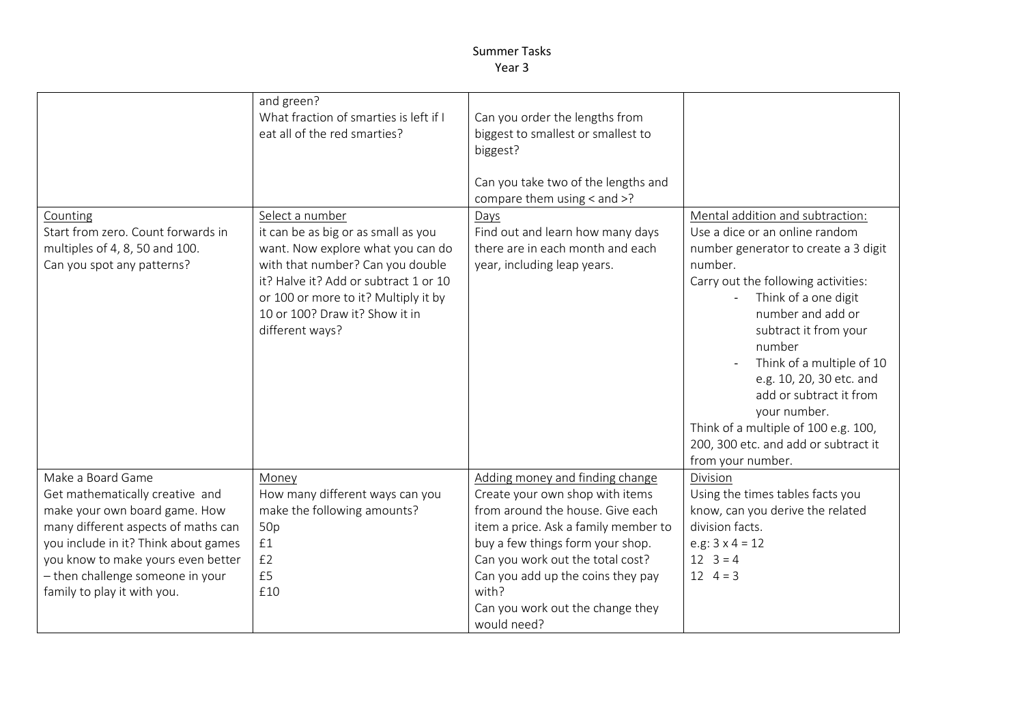| Counting<br>Start from zero. Count forwards in<br>multiples of 4, 8, 50 and 100.<br>Can you spot any patterns?                                                                                                                                                                | and green?<br>What fraction of smarties is left if I<br>eat all of the red smarties?<br>Select a number<br>it can be as big or as small as you<br>want. Now explore what you can do<br>with that number? Can you double<br>it? Halve it? Add or subtract 1 or 10<br>or 100 or more to it? Multiply it by<br>10 or 100? Draw it? Show it in<br>different ways? | Can you order the lengths from<br>biggest to smallest or smallest to<br>biggest?<br>Can you take two of the lengths and<br>compare them using < and >?<br>Days<br>Find out and learn how many days<br>there are in each month and each<br>year, including leap years.                                                   | Mental addition and subtraction:<br>Use a dice or an online random<br>number generator to create a 3 digit<br>number.<br>Carry out the following activities:<br>Think of a one digit<br>number and add or<br>subtract it from your<br>number<br>Think of a multiple of 10<br>e.g. 10, 20, 30 etc. and<br>add or subtract it from<br>your number.<br>Think of a multiple of 100 e.g. 100,<br>200, 300 etc. and add or subtract it<br>from your number. |
|-------------------------------------------------------------------------------------------------------------------------------------------------------------------------------------------------------------------------------------------------------------------------------|---------------------------------------------------------------------------------------------------------------------------------------------------------------------------------------------------------------------------------------------------------------------------------------------------------------------------------------------------------------|-------------------------------------------------------------------------------------------------------------------------------------------------------------------------------------------------------------------------------------------------------------------------------------------------------------------------|-------------------------------------------------------------------------------------------------------------------------------------------------------------------------------------------------------------------------------------------------------------------------------------------------------------------------------------------------------------------------------------------------------------------------------------------------------|
| Make a Board Game<br>Get mathematically creative and<br>make your own board game. How<br>many different aspects of maths can<br>you include in it? Think about games<br>you know to make yours even better<br>- then challenge someone in your<br>family to play it with you. | Money<br>How many different ways can you<br>make the following amounts?<br>50p<br>£1<br>£2<br>£5<br>£10                                                                                                                                                                                                                                                       | Adding money and finding change<br>Create your own shop with items<br>from around the house. Give each<br>item a price. Ask a family member to<br>buy a few things form your shop.<br>Can you work out the total cost?<br>Can you add up the coins they pay<br>with?<br>Can you work out the change they<br>would need? | Division<br>Using the times tables facts you<br>know, can you derive the related<br>division facts.<br>e.g: $3 \times 4 = 12$<br>$12 \quad 3 = 4$<br>$12 \quad 4 = 3$                                                                                                                                                                                                                                                                                 |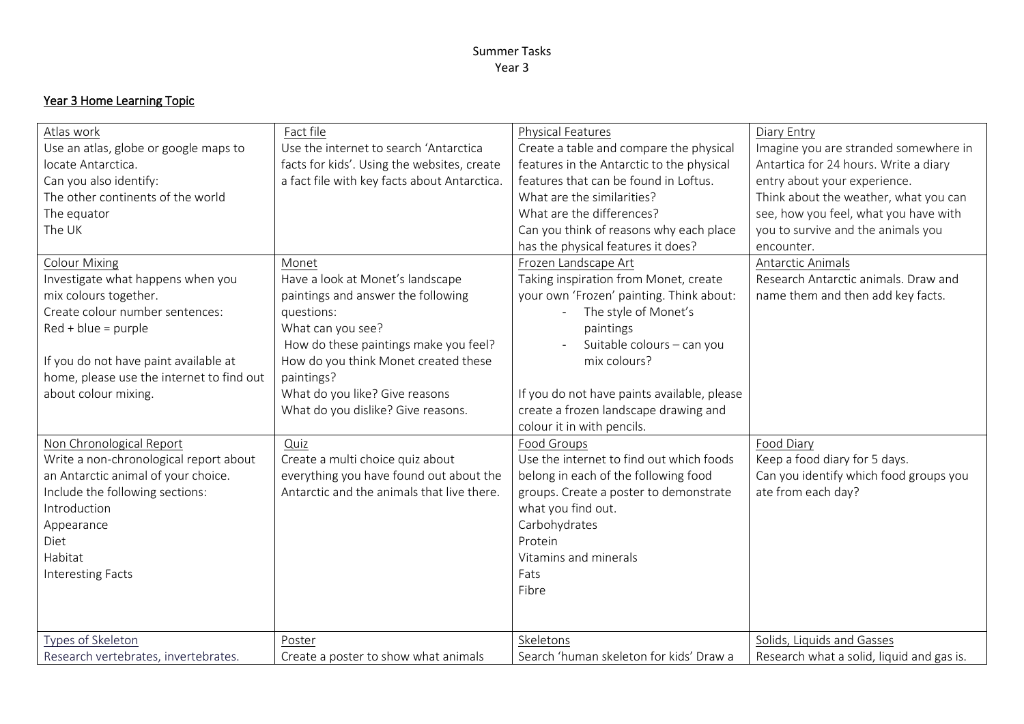# Year 3 Home Learning Topic

| Atlas work<br>Use an atlas, globe or google maps to<br>locate Antarctica. | Fact file<br>Use the internet to search 'Antarctica<br>facts for kids'. Using the websites, create | <b>Physical Features</b><br>Create a table and compare the physical<br>features in the Antarctic to the physical | Diary Entry<br>Imagine you are stranded somewhere in<br>Antartica for 24 hours. Write a diary |
|---------------------------------------------------------------------------|----------------------------------------------------------------------------------------------------|------------------------------------------------------------------------------------------------------------------|-----------------------------------------------------------------------------------------------|
| Can you also identify:                                                    | a fact file with key facts about Antarctica.                                                       | features that can be found in Loftus.                                                                            | entry about your experience.                                                                  |
| The other continents of the world                                         |                                                                                                    | What are the similarities?                                                                                       | Think about the weather, what you can                                                         |
| The equator                                                               |                                                                                                    | What are the differences?                                                                                        | see, how you feel, what you have with                                                         |
| The UK                                                                    |                                                                                                    | Can you think of reasons why each place                                                                          | you to survive and the animals you                                                            |
|                                                                           |                                                                                                    | has the physical features it does?                                                                               | encounter.                                                                                    |
| <b>Colour Mixing</b>                                                      | Monet                                                                                              | Frozen Landscape Art                                                                                             | Antarctic Animals                                                                             |
| Investigate what happens when you                                         | Have a look at Monet's landscape                                                                   | Taking inspiration from Monet, create                                                                            | Research Antarctic animals. Draw and                                                          |
| mix colours together.                                                     | paintings and answer the following                                                                 | your own 'Frozen' painting. Think about:                                                                         | name them and then add key facts.                                                             |
| Create colour number sentences:                                           | questions:                                                                                         | The style of Monet's                                                                                             |                                                                                               |
| $Red + blue = purple$                                                     | What can you see?                                                                                  | paintings                                                                                                        |                                                                                               |
|                                                                           | How do these paintings make you feel?                                                              | Suitable colours - can you                                                                                       |                                                                                               |
| If you do not have paint available at                                     | How do you think Monet created these                                                               | mix colours?                                                                                                     |                                                                                               |
| home, please use the internet to find out                                 | paintings?                                                                                         |                                                                                                                  |                                                                                               |
| about colour mixing.                                                      | What do you like? Give reasons                                                                     | If you do not have paints available, please                                                                      |                                                                                               |
|                                                                           | What do you dislike? Give reasons.                                                                 | create a frozen landscape drawing and                                                                            |                                                                                               |
|                                                                           |                                                                                                    | colour it in with pencils.                                                                                       |                                                                                               |
| Non Chronological Report<br>Write a non-chronological report about        | Quiz<br>Create a multi choice quiz about                                                           | Food Groups<br>Use the internet to find out which foods                                                          | Food Diary<br>Keep a food diary for 5 days.                                                   |
| an Antarctic animal of your choice.                                       | everything you have found out about the                                                            | belong in each of the following food                                                                             | Can you identify which food groups you                                                        |
| Include the following sections:                                           | Antarctic and the animals that live there.                                                         | groups. Create a poster to demonstrate                                                                           | ate from each day?                                                                            |
| Introduction                                                              |                                                                                                    | what you find out.                                                                                               |                                                                                               |
| Appearance                                                                |                                                                                                    | Carbohydrates                                                                                                    |                                                                                               |
| Diet                                                                      |                                                                                                    | Protein                                                                                                          |                                                                                               |
| Habitat                                                                   |                                                                                                    | Vitamins and minerals                                                                                            |                                                                                               |
| <b>Interesting Facts</b>                                                  |                                                                                                    | Fats                                                                                                             |                                                                                               |
|                                                                           |                                                                                                    | Fibre                                                                                                            |                                                                                               |
|                                                                           |                                                                                                    |                                                                                                                  |                                                                                               |
| Types of Skeleton                                                         | Poster                                                                                             | Skeletons                                                                                                        | Solids, Liquids and Gasses                                                                    |
| Research vertebrates, invertebrates.                                      | Create a poster to show what animals                                                               | Search 'human skeleton for kids' Draw a                                                                          | Research what a solid, liquid and gas is.                                                     |